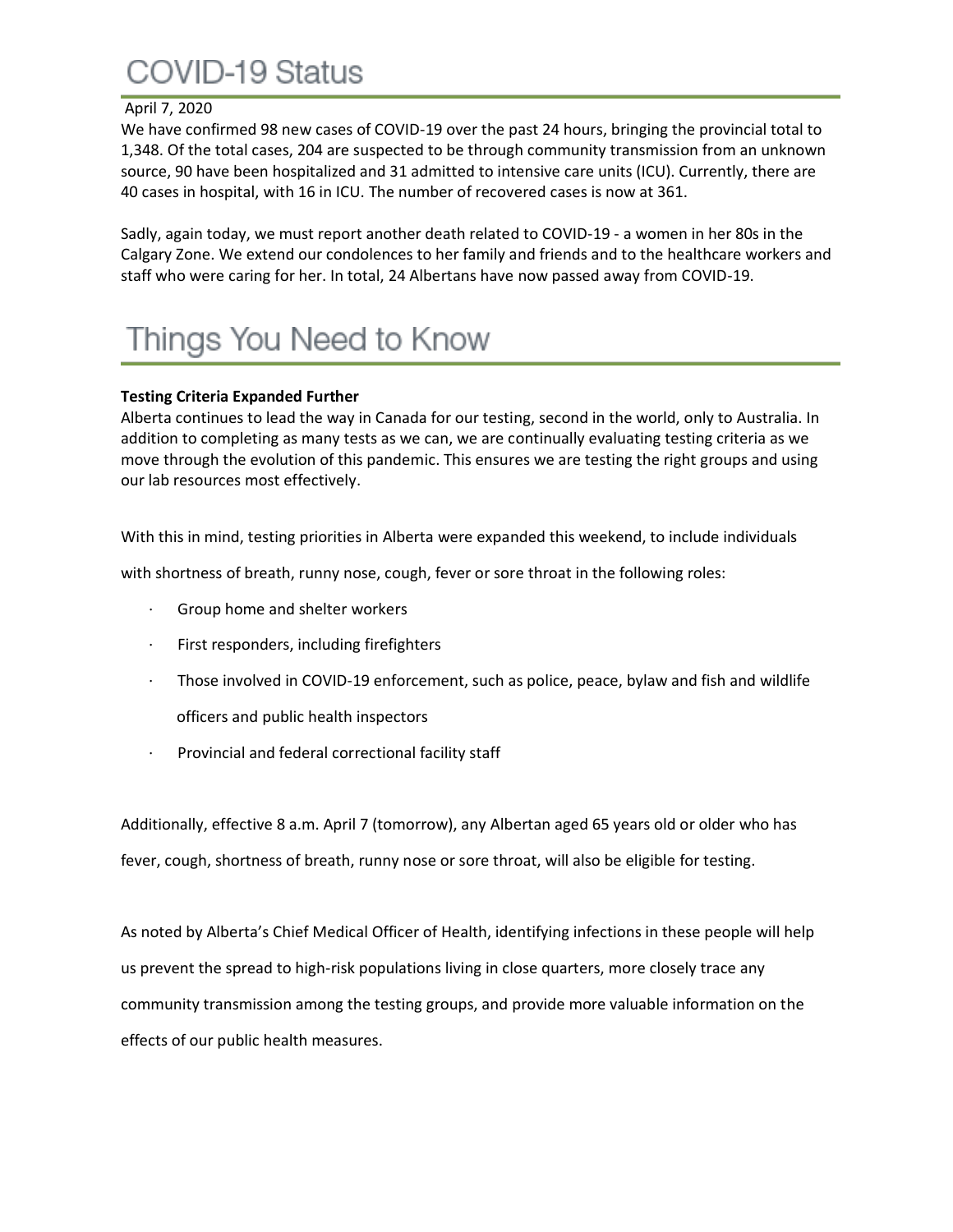## COVID-19 Status

#### April 7, 2020

We have confirmed 98 new cases of COVID-19 over the past 24 hours, bringing the provincial total to 1,348. Of the total cases, 204 are suspected to be through community transmission from an unknown source, 90 have been hospitalized and 31 admitted to intensive care units (ICU). Currently, there are 40 cases in hospital, with 16 in ICU. The number of recovered cases is now at 361.

Sadly, again today, we must report another death related to COVID-19 - a women in her 80s in the Calgary Zone. We extend our condolences to her family and friends and to the healthcare workers and staff who were caring for her. In total, 24 Albertans have now passed away from COVID-19.

# Things You Need to Know

### **Testing Criteria Expanded Further**

Alberta continues to lead the way in Canada for our testing, second in the world, only to Australia. In addition to completing as many tests as we can, we are continually evaluating testing criteria as we move through the evolution of this pandemic. This ensures we are testing the right groups and using our lab resources most effectively.

With this in mind, testing priorities in Alberta were expanded this weekend, to include individuals

with shortness of breath, runny nose, cough, fever or sore throat in the following roles:

- · Group home and shelter workers
- First responders, including firefighters
- · Those involved in COVID-19 enforcement, such as police, peace, bylaw and fish and wildlife officers and public health inspectors
- Provincial and federal correctional facility staff

Additionally, effective 8 a.m. April 7 (tomorrow), any Albertan aged 65 years old or older who has fever, cough, shortness of breath, runny nose or sore throat, will also be eligible for testing.

As noted by Alberta's Chief Medical Officer of Health, identifying infections in these people will help us prevent the spread to high-risk populations living in close quarters, more closely trace any community transmission among the testing groups, and provide more valuable information on the effects of our public health measures.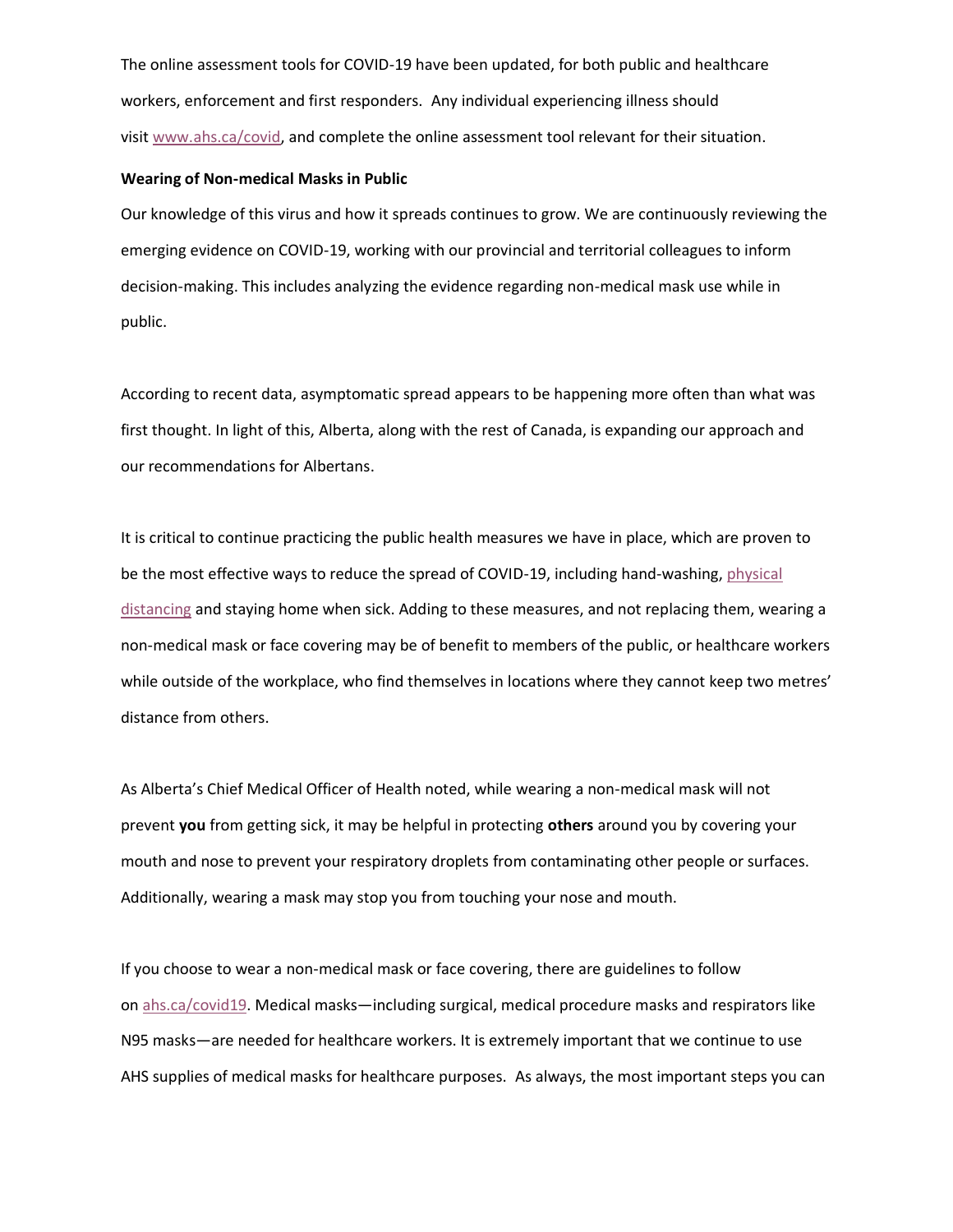The online assessment tools for COVID-19 have been updated, for both public and healthcare workers, enforcement and first responders. Any individual experiencing illness should visit [www.ahs.ca/covid,](http://www.ahs.ca/covid) and complete the online assessment tool relevant for their situation.

#### **Wearing of Non-medical Masks in Public**

Our knowledge of this virus and how it spreads continues to grow. We are continuously reviewing the emerging evidence on COVID-19, working with our provincial and territorial colleagues to inform decision-making. This includes analyzing the evidence regarding non-medical mask use while in public.

According to recent data, asymptomatic spread appears to be happening more often than what was first thought. In light of this, Alberta, along with the rest of Canada, is expanding our approach and our recommendations for Albertans.

It is critical to continue practicing the public health measures we have in place, which are proven to be the most effective ways to reduce the spread of COVID-19, including hand-washing, physical [distancing](https://www.albertahealthservices.ca/topics/Page16997.aspx#social) and staying home when sick. Adding to these measures, and not replacing them, wearing a non-medical mask or face covering may be of benefit to members of the public, or healthcare workers while outside of the workplace, who find themselves in locations where they cannot keep two metres' distance from others.

As Alberta's Chief Medical Officer of Health noted, while wearing a non-medical mask will not prevent **you** from getting sick, it may be helpful in protecting **others** around you by covering your mouth and nose to prevent your respiratory droplets from contaminating other people or surfaces. Additionally, wearing a mask may stop you from touching your nose and mouth.

If you choose to wear a non-medical mask or face covering, there are guidelines to follow on [ahs.ca/covid19.](http://www.ahs.ca/covid19) Medical masks—including surgical, medical procedure masks and respirators like N95 masks—are needed for healthcare workers. It is extremely important that we continue to use AHS supplies of medical masks for healthcare purposes. As always, the most important steps you can